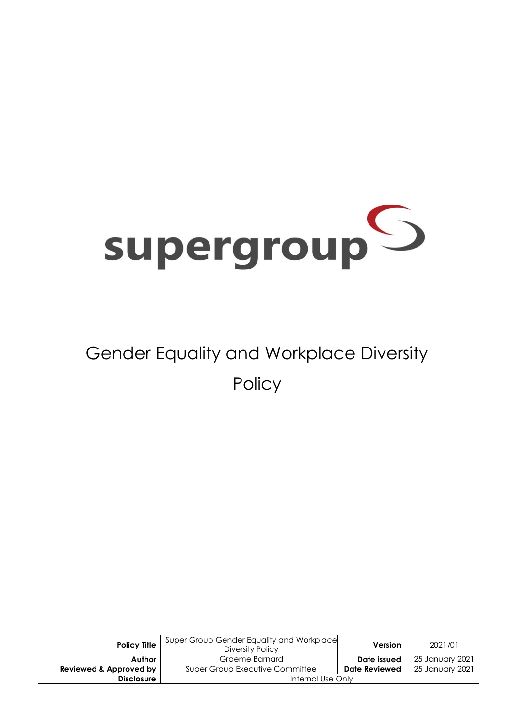

# Gender Equality and Workplace Diversity **Policy**

| <b>Policy Title</b>    | Super Group Gender Equality and Workplace<br>Diversity Policy | <b>Version</b>       | 2021/01         |
|------------------------|---------------------------------------------------------------|----------------------|-----------------|
| Author                 | Graeme Barnard                                                | Date issued          | 25 January 2021 |
| Reviewed & Approved by | Super Group Executive Committee                               | <b>Date Reviewed</b> | 25 January 2021 |
| <b>Disclosure</b>      | Internal Use Only                                             |                      |                 |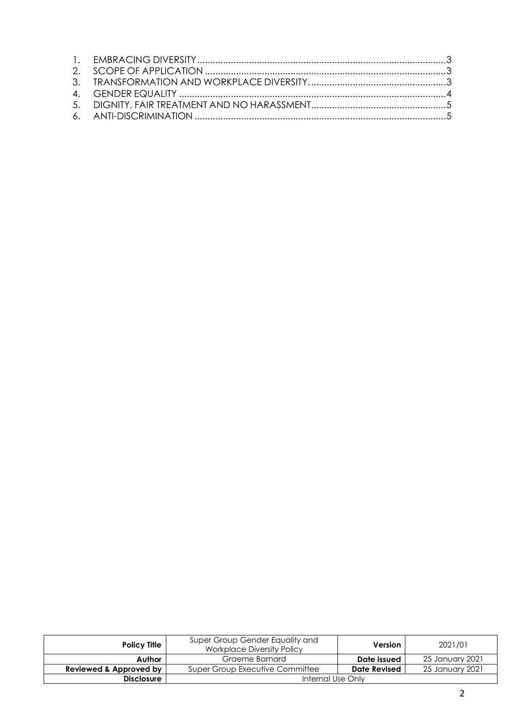| <b>Policy Title</b>    | Super Group Gender Equality and<br><b>Workplace Diversity Policy</b> | Version             | 2021/01         |
|------------------------|----------------------------------------------------------------------|---------------------|-----------------|
| Author                 | Graeme Barnard                                                       | Date issued         | 25 January 2021 |
| Reviewed & Approved by | Super Group Executive Committee                                      | <b>Date Revised</b> | 25 January 2021 |
| <b>Disclosure</b>      | Internal Use Only                                                    |                     |                 |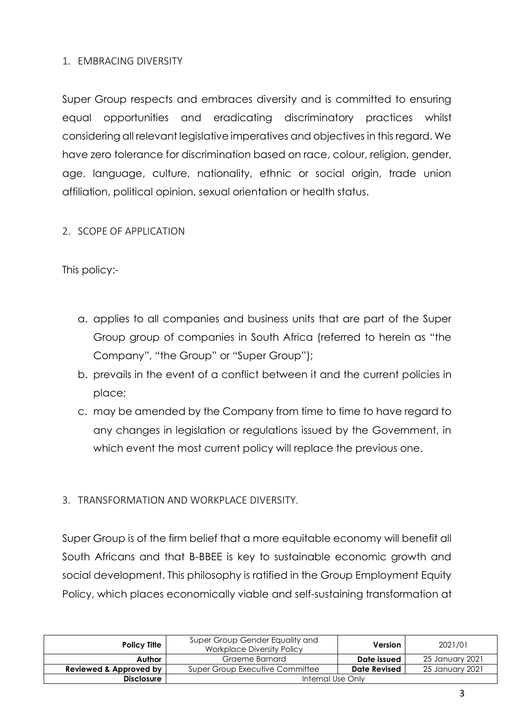### 1. EMBRACING DIVERSITY

Super Group respects and embraces diversity and is committed to ensuring equal opportunities and eradicating discriminatory practices whilst considering all relevant legislative imperatives and objectives in this regard. We have zero tolerance for discrimination based on race, colour, religion, gender, age, language, culture, nationality, ethnic or social origin, trade union affiliation, political opinion, sexual orientation or health status.

### 2. SCOPE OF APPLICATION

This policy:-

- a. applies to all companies and business units that are part of the Super Group group of companies in South Africa (referred to herein as "the Company", "the Group" or "Super Group");
- b. prevails in the event of a conflict between it and the current policies in place;
- c. may be amended by the Company from time to time to have regard to any changes in legislation or regulations issued by the Government, in which event the most current policy will replace the previous one.

## 3. TRANSFORMATION AND WORKPLACE DIVERSITY.

Super Group is of the firm belief that a more equitable economy will benefit all South Africans and that B-BBEE is key to sustainable economic growth and social development. This philosophy is ratified in the Group Employment Equity Policy, which places economically viable and self-sustaining transformation at

| <b>Policy Title</b>    | Super Group Gender Equality and<br><b>Workplace Diversity Policy</b> | <b>Version</b> | 2021/01         |
|------------------------|----------------------------------------------------------------------|----------------|-----------------|
| Author                 | Graeme Barnard                                                       | Date issued    | 25 January 2021 |
| Reviewed & Approved by | Super Group Executive Committee                                      | Date Revised   | 25 January 2021 |
| <b>Disclosure</b>      | Internal Use Only                                                    |                |                 |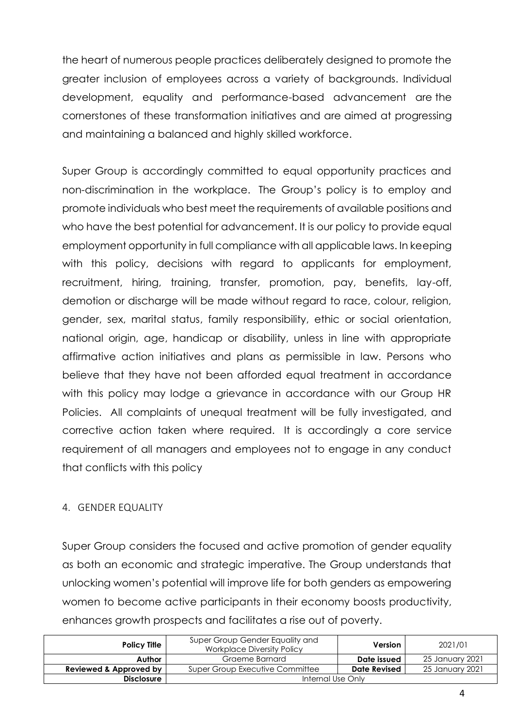the heart of numerous people practices deliberately designed to promote the greater inclusion of employees across a variety of backgrounds. Individual development, equality and performance-based advancement are the cornerstones of these transformation initiatives and are aimed at progressing and maintaining a balanced and highly skilled workforce.

Super Group is accordingly committed to equal opportunity practices and non-discrimination in the workplace. The Group's policy is to employ and promote individuals who best meet the requirements of available positions and who have the best potential for advancement. It is our policy to provide equal employment opportunity in full compliance with all applicable laws. In keeping with this policy, decisions with regard to applicants for employment, recruitment, hiring, training, transfer, promotion, pay, benefits, lay-off, demotion or discharge will be made without regard to race, colour, religion, gender, sex, marital status, family responsibility, ethic or social orientation, national origin, age, handicap or disability, unless in line with appropriate affirmative action initiatives and plans as permissible in law. Persons who believe that they have not been afforded equal treatment in accordance with this policy may lodge a grievance in accordance with our Group HR Policies. All complaints of unequal treatment will be fully investigated, and corrective action taken where required. It is accordingly a core service requirement of all managers and employees not to engage in any conduct that conflicts with this policy

### 4. GENDER EQUALITY

Super Group considers the focused and active promotion of gender equality as both an economic and strategic imperative. The Group understands that unlocking women's potential will improve life for both genders as empowering women to become active participants in their economy boosts productivity, enhances growth prospects and facilitates a rise out of poverty.

| <b>Policy Title</b>    | Super Group Gender Equality and<br><b>Workplace Diversity Policy</b> | <b>Version</b>      | 2021/01         |
|------------------------|----------------------------------------------------------------------|---------------------|-----------------|
| Author                 | Graeme Barnard                                                       | Date issued         | 25 January 2021 |
| Reviewed & Approved by | Super Group Executive Committee                                      | <b>Date Revised</b> | 25 January 2021 |
| <b>Disclosure</b>      | Internal Use Only                                                    |                     |                 |